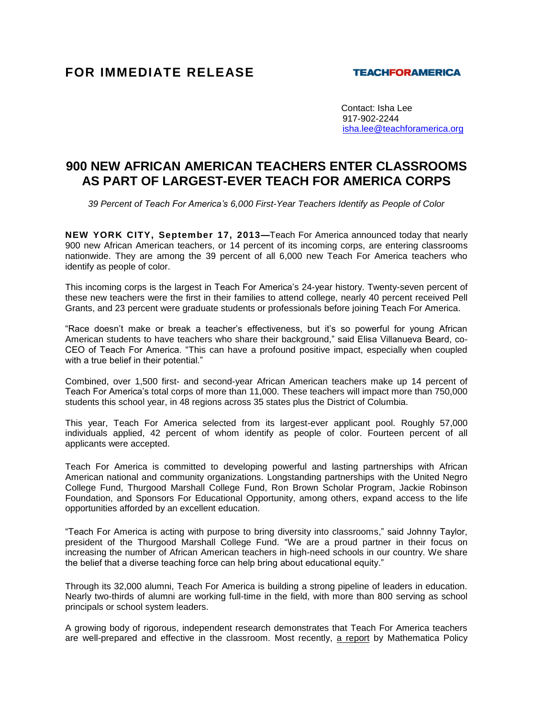## **FOR IMMEDIATE RELEASE**

## **TEACHFORAMERICA**

 Contact: Isha Lee 917-902-2244 [isha.lee@teachforamerica.org](mailto:isha.lee@teachforamerica.org)

## **900 NEW AFRICAN AMERICAN TEACHERS ENTER CLASSROOMS AS PART OF LARGEST-EVER TEACH FOR AMERICA CORPS**

*39 Percent of Teach For America's 6,000 First-Year Teachers Identify as People of Color*

**NEW YORK CITY, September 17, 2013—**Teach For America announced today that nearly 900 new African American teachers, or 14 percent of its incoming corps, are entering classrooms nationwide. They are among the 39 percent of all 6,000 new Teach For America teachers who identify as people of color.

This incoming corps is the largest in Teach For America's 24-year history. Twenty-seven percent of these new teachers were the first in their families to attend college, nearly 40 percent received Pell Grants, and 23 percent were graduate students or professionals before joining Teach For America.

"Race doesn't make or break a teacher's effectiveness, but it's so powerful for young African American students to have teachers who share their background," said Elisa Villanueva Beard, co-CEO of Teach For America. "This can have a profound positive impact, especially when coupled with a true belief in their potential."

Combined, over 1,500 first- and second-year African American teachers make up 14 percent of Teach For America's total corps of more than 11,000. These teachers will impact more than 750,000 students this school year, in 48 regions across 35 states plus the District of Columbia.

This year, Teach For America selected from its largest-ever applicant pool. Roughly 57,000 individuals applied, 42 percent of whom identify as people of color. Fourteen percent of all applicants were accepted.

Teach For America is committed to developing powerful and lasting partnerships with African American national and community organizations. Longstanding partnerships with the United Negro College Fund, Thurgood Marshall College Fund, Ron Brown Scholar Program, Jackie Robinson Foundation, and Sponsors For Educational Opportunity, among others, expand access to the life opportunities afforded by an excellent education.

"Teach For America is acting with purpose to bring diversity into classrooms," said Johnny Taylor, president of the Thurgood Marshall College Fund. "We are a proud partner in their focus on increasing the number of African American teachers in high-need schools in our country. We share the belief that a diverse teaching force can help bring about educational equity."

Through its 32,000 alumni, Teach For America is building a strong pipeline of leaders in education. Nearly two-thirds of alumni are working full-time in the field, with more than 800 serving as school principals or school system leaders.

A growing body of rigorous, independent research demonstrates that Teach For America teachers are well-prepared and effective in the classroom. Most recently, [a report](http://www.mathematica-mpr.com/Newsroom/Releases/2013/HSAC_Sec_Math.asp) by Mathematica Policy